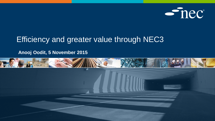

#### Efficiency and greater value through NEC3

#### **Anooj Oodit, 5 November 2015**

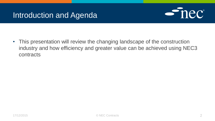#### Introduction and Agenda



• This presentation will review the changing landscape of the construction industry and how efficiency and greater value can be achieved using NEC3 contracts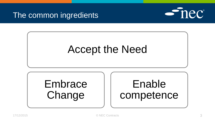#### The common ingredients



## Accept the Need

# **Embrace** Change

## Enable competence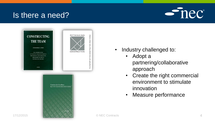#### Is there a need?





- Industry challenged to:
	- Adopt a partnering/collaborative approach
	- Create the right commercial environment to stimulate innovation
	- Measure performance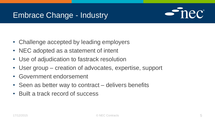#### Embrace Change - Industry



- Challenge accepted by leading employers
- NEC adopted as a statement of intent
- Use of adjudication to fastrack resolution
- User group creation of advocates, expertise, support
- Government endorsement
- Seen as better way to contract delivers benefits
- Built a track record of success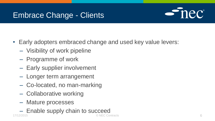#### Embrace Change - Clients



- Early adopters embraced change and used key value levers:
	- Visibility of work pipeline
	- Programme of work
	- Early supplier involvement
	- Longer term arrangement
	- Co-located, no man-marking
	- Collaborative working
	- Mature processes
- Enable supply chain to succeed 17/12/2015 © NEC Contracts 6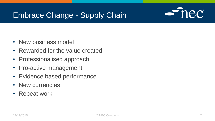#### Embrace Change - Supply Chain



- New business model
- Rewarded for the value created
- Professionalised approach
- Pro-active management
- Evidence based performance
- New currencies
- Repeat work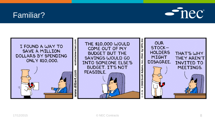#### Familiar?



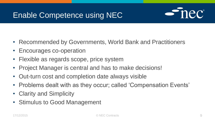## Enable Competence using NEC



- Recommended by Governments, World Bank and Practitioners
- Encourages co-operation
- Flexible as regards scope, price system
- Project Manager is central and has to make decisions!
- Out-turn cost and completion date always visible
- Problems dealt with as they occur; called 'Compensation Events'
- Clarity and Simplicity
- Stimulus to Good Management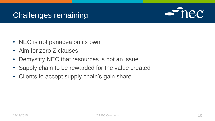#### Challenges remaining



- NEC is not panacea on its own
- Aim for zero Z clauses
- Demystify NEC that resources is not an issue
- Supply chain to be rewarded for the value created
- Clients to accept supply chain's gain share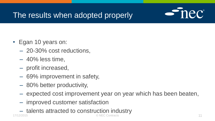## The results when adopted properly



- Egan 10 years on:
	- 20-30% cost reductions,
	- $-40\%$  less time,
	- profit increased,
	- 69% improvement in safety,
	- 80% better productivity,
	- expected cost improvement year on year which has been beaten,
	- improved customer satisfaction
- talents attracted to construction industry 17/12/2015 © NEC Contracts 11